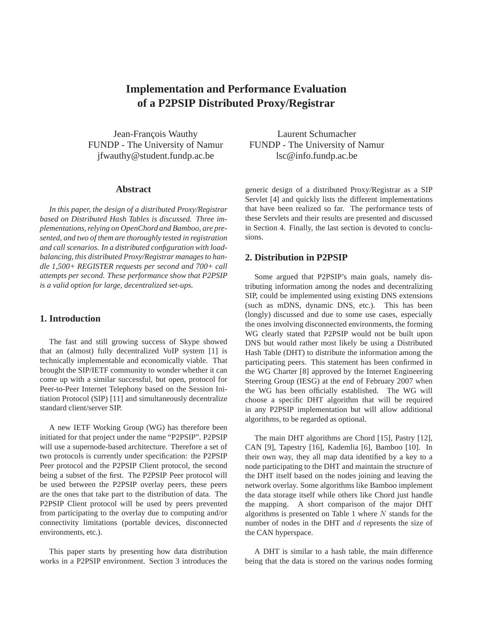# **Implementation and Performance Evaluation of a P2PSIP Distributed Proxy/Registrar**

Jean-François Wauthy FUNDP - The University of Namur jfwauthy@student.fundp.ac.be

#### **Abstract**

*In this paper, the design of a distributed Proxy/Registrar based on Distributed Hash Tables is discussed. Three implementations, relying on OpenChord and Bamboo, are presented, and two of them are thoroughly tested in registration and call scenarios. In a distributed configuration with loadbalancing, this distributed Proxy/Registrar manages to handle 1,500+ REGISTER requests per second and 700+ call attempts per second. These performance show that P2PSIP is a valid option for large, decentralized set-ups.*

# **1. Introduction**

The fast and still growing success of Skype showed that an (almost) fully decentralized VoIP system [1] is technically implementable and economically viable. That brought the SIP/IETF community to wonder whether it can come up with a similar successful, but open, protocol for Peer-to-Peer Internet Telephony based on the Session Initiation Protocol (SIP) [11] and simultaneously decentralize standard client/server SIP.

A new IETF Working Group (WG) has therefore been initiated for that project under the name "P2PSIP". P2PSIP will use a supernode-based architecture. Therefore a set of two protocols is currently under specification: the P2PSIP Peer protocol and the P2PSIP Client protocol, the second being a subset of the first. The P2PSIP Peer protocol will be used between the P2PSIP overlay peers, these peers are the ones that take part to the distribution of data. The P2PSIP Client protocol will be used by peers prevented from participating to the overlay due to computing and/or connectivity limitations (portable devices, disconnected environments, etc.).

This paper starts by presenting how data distribution works in a P2PSIP environment. Section 3 introduces the

Laurent Schumacher FUNDP - The University of Namur lsc@info.fundp.ac.be

generic design of a distributed Proxy/Registrar as a SIP Servlet [4] and quickly lists the different implementations that have been realized so far. The performance tests of these Servlets and their results are presented and discussed in Section 4. Finally, the last section is devoted to conclusions.

### **2. Distribution in P2PSIP**

Some argued that P2PSIP's main goals, namely distributing information among the nodes and decentralizing SIP, could be implemented using existing DNS extensions (such as mDNS, dynamic DNS, etc.). This has been (longly) discussed and due to some use cases, especially the ones involving disconnected environments, the forming WG clearly stated that P2PSIP would not be built upon DNS but would rather most likely be using a Distributed Hash Table (DHT) to distribute the information among the participating peers. This statement has been confirmed in the WG Charter [8] approved by the Internet Engineering Steering Group (IESG) at the end of February 2007 when the WG has been officially established. The WG will choose a specific DHT algorithm that will be required in any P2PSIP implementation but will allow additional algorithms, to be regarded as optional.

The main DHT algorithms are Chord [15], Pastry [12], CAN [9], Tapestry [16], Kademlia [6], Bamboo [10]. In their own way, they all map data identified by a key to a node participating to the DHT and maintain the structure of the DHT itself based on the nodes joining and leaving the network overlay. Some algorithms like Bamboo implement the data storage itself while others like Chord just handle the mapping. A short comparison of the major DHT algorithms is presented on Table 1 where  $N$  stands for the number of nodes in the DHT and d represents the size of the CAN hyperspace.

A DHT is similar to a hash table, the main difference being that the data is stored on the various nodes forming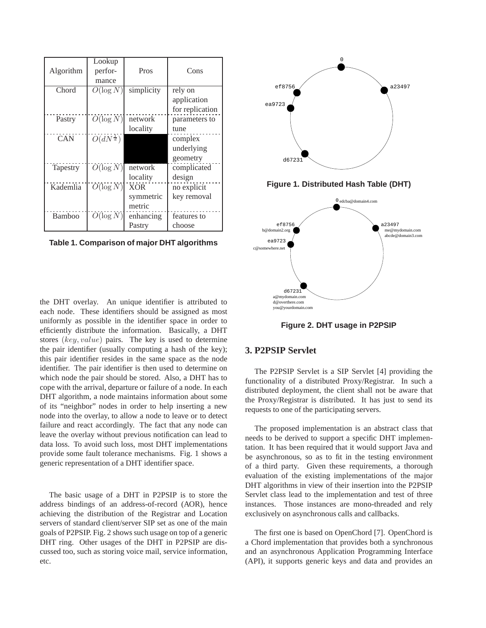| Algorithm | Lookup<br>perfor-     | Pros       | Cons            |
|-----------|-----------------------|------------|-----------------|
|           | mance                 |            |                 |
| Chord     | $O(\log N)$           | simplicity | rely on         |
|           |                       |            | application     |
|           |                       |            | for replication |
| Pastry    | $O(\log N)$           | network    | parameters to   |
|           |                       | locality   | tune            |
| CAN       | $O(dN^{\frac{1}{d}})$ |            | complex         |
|           |                       |            | underlying      |
|           |                       |            | geometry        |
| Tapestry  | $O(\log N)$           | network    | complicated     |
|           |                       | locality   | design          |
| Kademlia  | $O(\log N)$           | <b>XOR</b> | no explicit     |
|           |                       | symmetric  | key removal     |
|           |                       | metric     |                 |
| Bamboo    | $O(\log N)$           | enhancing  | features to     |
|           |                       | Pastry     | choose          |

**Table 1. Comparison of major DHT algorithms**

the DHT overlay. An unique identifier is attributed to each node. These identifiers should be assigned as most uniformly as possible in the identifier space in order to efficiently distribute the information. Basically, a DHT stores (key, value) pairs. The key is used to determine the pair identifier (usually computing a hash of the key); this pair identifier resides in the same space as the node identifier. The pair identifier is then used to determine on which node the pair should be stored. Also, a DHT has to cope with the arrival, departure or failure of a node. In each DHT algorithm, a node maintains information about some of its "neighbor" nodes in order to help inserting a new node into the overlay, to allow a node to leave or to detect failure and react accordingly. The fact that any node can leave the overlay without previous notification can lead to data loss. To avoid such loss, most DHT implementations provide some fault tolerance mechanisms. Fig. 1 shows a generic representation of a DHT identifier space.

The basic usage of a DHT in P2PSIP is to store the address bindings of an address-of-record (AOR), hence achieving the distribution of the Registrar and Location servers of standard client/server SIP set as one of the main goals of P2PSIP. Fig. 2 shows such usage on top of a generic DHT ring. Other usages of the DHT in P2PSIP are discussed too, such as storing voice mail, service information, etc.



**Figure 2. DHT usage in P2PSIP**

# **3. P2PSIP Servlet**

The P2PSIP Servlet is a SIP Servlet [4] providing the functionality of a distributed Proxy/Registrar. In such a distributed deployment, the client shall not be aware that the Proxy/Registrar is distributed. It has just to send its requests to one of the participating servers.

The proposed implementation is an abstract class that needs to be derived to support a specific DHT implementation. It has been required that it would support Java and be asynchronous, so as to fit in the testing environment of a third party. Given these requirements, a thorough evaluation of the existing implementations of the major DHT algorithms in view of their insertion into the P2PSIP Servlet class lead to the implementation and test of three instances. Those instances are mono-threaded and rely exclusively on asynchronous calls and callbacks.

The first one is based on OpenChord [7]. OpenChord is a Chord implementation that provides both a synchronous and an asynchronous Application Programming Interface (API), it supports generic keys and data and provides an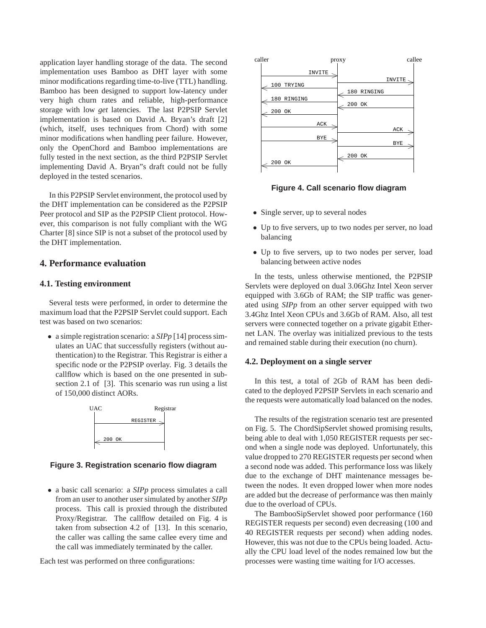application layer handling storage of the data. The second implementation uses Bamboo as DHT layer with some minor modifications regarding time-to-live (TTL) handling. Bamboo has been designed to support low-latency under very high churn rates and reliable, high-performance storage with low *get* latencies. The last P2PSIP Servlet implementation is based on David A. Bryan's draft [2] (which, itself, uses techniques from Chord) with some minor modifications when handling peer failure. However, only the OpenChord and Bamboo implementations are fully tested in the next section, as the third P2PSIP Servlet implementing David A. Bryan"s draft could not be fully deployed in the tested scenarios.

In this P2PSIP Servlet environment, the protocol used by the DHT implementation can be considered as the P2PSIP Peer protocol and SIP as the P2PSIP Client protocol. However, this comparison is not fully compliant with the WG Charter [8] since SIP is not a subset of the protocol used by the DHT implementation.

# **4. Performance evaluation**

#### **4.1. Testing environment**

Several tests were performed, in order to determine the maximum load that the P2PSIP Servlet could support. Each test was based on two scenarios:

• a simple registration scenario: a *SIPp* [14] process simulates an UAC that successfully registers (without authentication) to the Registrar. This Registrar is either a specific node or the P2PSIP overlay. Fig. 3 details the callflow which is based on the one presented in subsection 2.1 of [3]. This scenario was run using a list of 150,000 distinct AORs.



**Figure 3. Registration scenario flow diagram**

• a basic call scenario: a *SIPp* process simulates a call from an user to another user simulated by another *SIPp* process. This call is proxied through the distributed Proxy/Registrar. The callflow detailed on Fig. 4 is taken from subsection 4.2 of [13]. In this scenario, the caller was calling the same callee every time and the call was immediately terminated by the caller.

Each test was performed on three configurations:



**Figure 4. Call scenario flow diagram**

- Single server, up to several nodes
- Up to five servers, up to two nodes per server, no load balancing
- Up to five servers, up to two nodes per server, load balancing between active nodes

In the tests, unless otherwise mentioned, the P2PSIP Servlets were deployed on dual 3.06Ghz Intel Xeon server equipped with 3.6Gb of RAM; the SIP traffic was generated using *SIPp* from an other server equipped with two 3.4Ghz Intel Xeon CPUs and 3.6Gb of RAM. Also, all test servers were connected together on a private gigabit Ethernet LAN. The overlay was initialized previous to the tests and remained stable during their execution (no churn).

#### **4.2. Deployment on a single server**

In this test, a total of 2Gb of RAM has been dedicated to the deployed P2PSIP Servlets in each scenario and the requests were automatically load balanced on the nodes.

The results of the registration scenario test are presented on Fig. 5. The ChordSipServlet showed promising results, being able to deal with 1,050 REGISTER requests per second when a single node was deployed. Unfortunately, this value dropped to 270 REGISTER requests per second when a second node was added. This performance loss was likely due to the exchange of DHT maintenance messages between the nodes. It even dropped lower when more nodes are added but the decrease of performance was then mainly due to the overload of CPUs.

The BambooSipServlet showed poor performance (160 REGISTER requests per second) even decreasing (100 and 40 REGISTER requests per second) when adding nodes. However, this was not due to the CPUs being loaded. Actually the CPU load level of the nodes remained low but the processes were wasting time waiting for I/O accesses.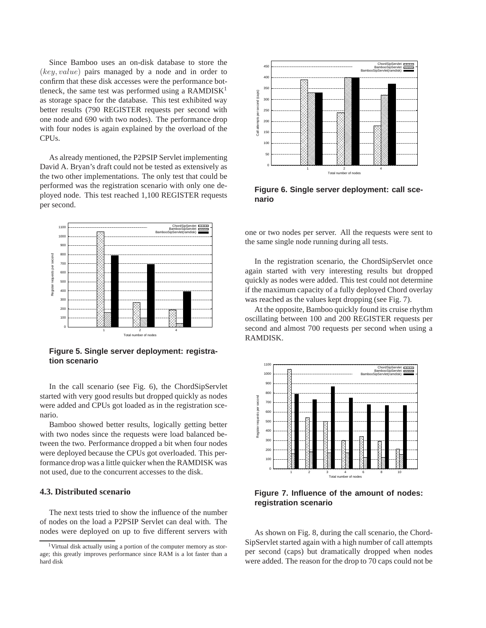Since Bamboo uses an on-disk database to store the (key, value) pairs managed by a node and in order to confirm that these disk accesses were the performance bottleneck, the same test was performed using a RAMDISK<sup>1</sup> as storage space for the database. This test exhibited way better results (790 REGISTER requests per second with one node and 690 with two nodes). The performance drop with four nodes is again explained by the overload of the CPUs.

As already mentioned, the P2PSIP Servlet implementing David A. Bryan's draft could not be tested as extensively as the two other implementations. The only test that could be performed was the registration scenario with only one deployed node. This test reached 1,100 REGISTER requests per second.



**Figure 5. Single server deployment: registration scenario**

In the call scenario (see Fig. 6), the ChordSipServlet started with very good results but dropped quickly as nodes were added and CPUs got loaded as in the registration scenario.

Bamboo showed better results, logically getting better with two nodes since the requests were load balanced between the two. Performance dropped a bit when four nodes were deployed because the CPUs got overloaded. This performance drop was a little quicker when the RAMDISK was not used, due to the concurrent accesses to the disk.

# **4.3. Distributed scenario**

The next tests tried to show the influence of the number of nodes on the load a P2PSIP Servlet can deal with. The nodes were deployed on up to five different servers with



**Figure 6. Single server deployment: call scenario**

one or two nodes per server. All the requests were sent to the same single node running during all tests.

In the registration scenario, the ChordSipServlet once again started with very interesting results but dropped quickly as nodes were added. This test could not determine if the maximum capacity of a fully deployed Chord overlay was reached as the values kept dropping (see Fig. 7).

At the opposite, Bamboo quickly found its cruise rhythm oscillating between 100 and 200 REGISTER requests per second and almost 700 requests per second when using a RAMDISK.



**Figure 7. Influence of the amount of nodes: registration scenario**

As shown on Fig. 8, during the call scenario, the Chord-SipServlet started again with a high number of call attempts per second (caps) but dramatically dropped when nodes were added. The reason for the drop to 70 caps could not be

<sup>1</sup>Virtual disk actually using a portion of the computer memory as storage; this greatly improves performance since RAM is a lot faster than a hard disk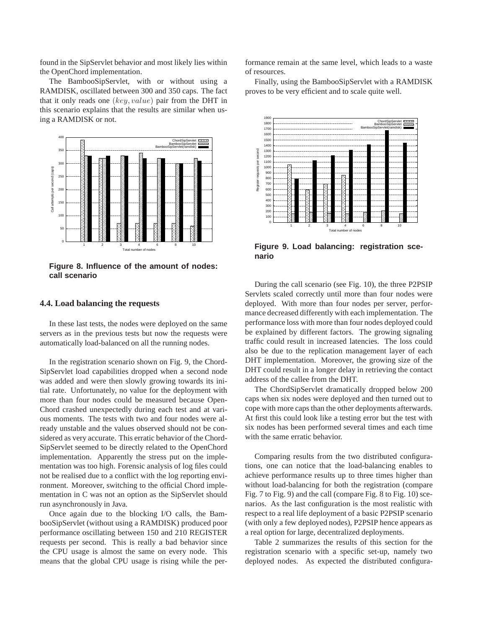found in the SipServlet behavior and most likely lies within the OpenChord implementation.

The BambooSipServlet, with or without using a RAMDISK, oscillated between 300 and 350 caps. The fact that it only reads one (key, value) pair from the DHT in this scenario explains that the results are similar when using a RAMDISK or not.



**Figure 8. Influence of the amount of nodes: call scenario**

#### **4.4. Load balancing the requests**

In these last tests, the nodes were deployed on the same servers as in the previous tests but now the requests were automatically load-balanced on all the running nodes.

In the registration scenario shown on Fig. 9, the Chord-SipServlet load capabilities dropped when a second node was added and were then slowly growing towards its initial rate. Unfortunately, no value for the deployment with more than four nodes could be measured because Open-Chord crashed unexpectedly during each test and at various moments. The tests with two and four nodes were already unstable and the values observed should not be considered as very accurate. This erratic behavior of the Chord-SipServlet seemed to be directly related to the OpenChord implementation. Apparently the stress put on the implementation was too high. Forensic analysis of log files could not be realised due to a conflict with the log reporting environment. Moreover, switching to the official Chord implementation in C was not an option as the SipServlet should run asynchronously in Java.

Once again due to the blocking I/O calls, the BambooSipServlet (without using a RAMDISK) produced poor performance oscillating between 150 and 210 REGISTER requests per second. This is really a bad behavior since the CPU usage is almost the same on every node. This means that the global CPU usage is rising while the performance remain at the same level, which leads to a waste of resources.

Finally, using the BambooSipServlet with a RAMDISK proves to be very efficient and to scale quite well.



**Figure 9. Load balancing: registration scenario**

During the call scenario (see Fig. 10), the three P2PSIP Servlets scaled correctly until more than four nodes were deployed. With more than four nodes per server, performance decreased differently with each implementation. The performance loss with more than four nodes deployed could be explained by different factors. The growing signaling traffic could result in increased latencies. The loss could also be due to the replication management layer of each DHT implementation. Moreover, the growing size of the DHT could result in a longer delay in retrieving the contact address of the callee from the DHT.

The ChordSipServlet dramatically dropped below 200 caps when six nodes were deployed and then turned out to cope with more caps than the other deployments afterwards. At first this could look like a testing error but the test with six nodes has been performed several times and each time with the same erratic behavior.

Comparing results from the two distributed configurations, one can notice that the load-balancing enables to achieve performance results up to three times higher than without load-balancing for both the registration (compare Fig. 7 to Fig. 9) and the call (compare Fig. 8 to Fig. 10) scenarios. As the last configuration is the most realistic with respect to a real life deployment of a basic P2PSIP scenario (with only a few deployed nodes), P2PSIP hence appears as a real option for large, decentralized deployments.

Table 2 summarizes the results of this section for the registration scenario with a specific set-up, namely two deployed nodes. As expected the distributed configura-